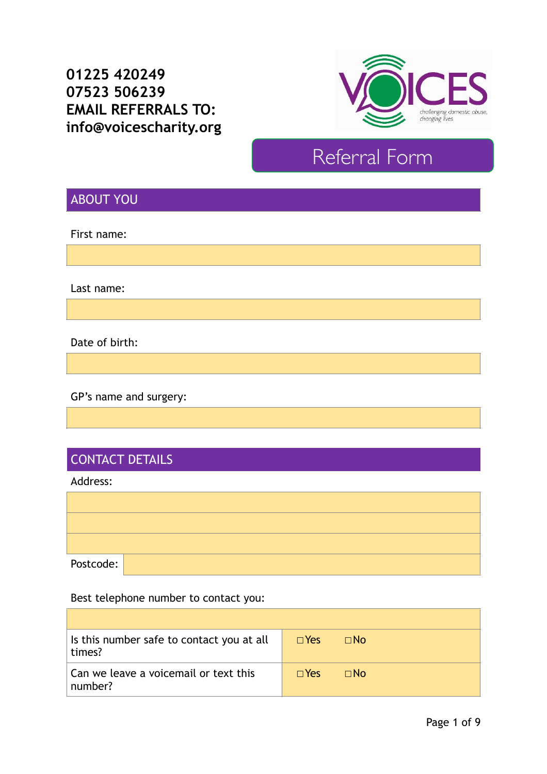# **01225 420249 07523 506239 EMAIL REFERRALS TO: info@voicescharity.org**



# Referral Form

# ABOUT YOU

First name:

Last name:

Date of birth:

GP's name and surgery:

# CONTACT DETAILS

#### Address:

| Postcode: |  |  |  |
|-----------|--|--|--|

#### Best telephone number to contact you:

| Is this number safe to contact you at all<br>times? | $\square$ Yes | $\Box$ No |
|-----------------------------------------------------|---------------|-----------|
| Can we leave a voicemail or text this<br>number?    | $\Box$ Yes    | $\Box$ No |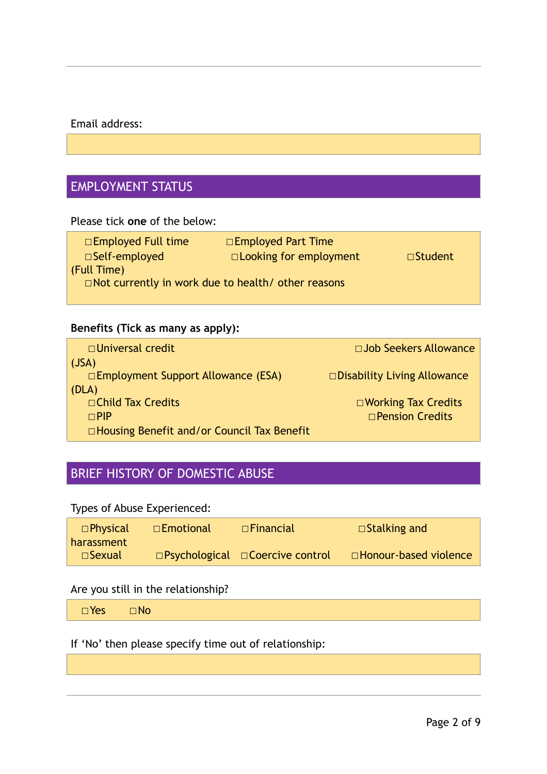#### Email address:

# EMPLOYMENT STATUS

Please tick **one** of the below:

| $\Box$ Employed Full time                                 | $\Box$ Employed Part Time     |                |
|-----------------------------------------------------------|-------------------------------|----------------|
| $\square$ Self-employed                                   | $\Box$ Looking for employment | $\Box$ Student |
| (Full Time)                                               |                               |                |
| $\Box$ Not currently in work due to health/ other reasons |                               |                |

#### **Benefits (Tick as many as apply):**

| □ Universal credit                           | □ Job Seekers Allowance               |
|----------------------------------------------|---------------------------------------|
| (JSA)                                        |                                       |
| □ Employment Support Allowance (ESA)         | $\square$ Disability Living Allowance |
| (DLA)                                        |                                       |
| □ Child Tax Credits                          | $\Box$ Working Tax Credits            |
| $\Box$ PIP                                   | $\Box$ Pension Credits                |
| □ Housing Benefit and/or Council Tax Benefit |                                       |

# BRIEF HISTORY OF DOMESTIC ABUSE

Types of Abuse Experienced:

| $\square$ Physical | $\square$ Emotional | <b>D</b> Financial                                 | $\Box$ Stalking and     |
|--------------------|---------------------|----------------------------------------------------|-------------------------|
| harassment         |                     |                                                    |                         |
| $\square$ Sexual   |                     | <b>Desychological Designation</b> Coercive control | □ Honour-based violence |

#### Are you still in the relationship?

☐Yes ☐No

If 'No' then please specify time out of relationship: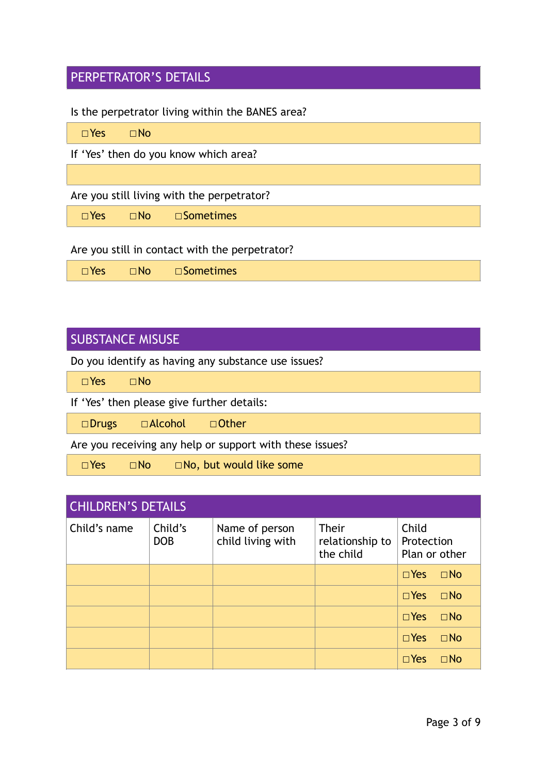# PERPETRATOR'S DETAILS

#### Is the perpetrator living within the BANES area?

| $\square$ Yes                         | $\Box$ No    |                                            |  |  |  |
|---------------------------------------|--------------|--------------------------------------------|--|--|--|
| If 'Yes' then do you know which area? |              |                                            |  |  |  |
|                                       |              |                                            |  |  |  |
|                                       |              | Are you still living with the perpetrator? |  |  |  |
| $\square$ Yes                         | $\square$ No | □ Sometimes                                |  |  |  |
|                                       |              |                                            |  |  |  |

Are you still in contact with the perpetrator?

# SUBSTANCE MISUSE

Do you identify as having any substance use issues?

☐Yes ☐No

If 'Yes' then please give further details:

☐Drugs ☐Alcohol ☐Other

Are you receiving any help or support with these issues?

☐Yes ☐No ☐No, but would like some

| <b>CHILDREN'S DETAILS</b> |                       |                                     |                                       |                                      |  |  |  |
|---------------------------|-----------------------|-------------------------------------|---------------------------------------|--------------------------------------|--|--|--|
| Child's name              | Child's<br><b>DOB</b> | Name of person<br>child living with | Their<br>relationship to<br>the child | Child<br>Protection<br>Plan or other |  |  |  |
|                           |                       |                                     |                                       | $\square$ Yes<br>$\Box$ No           |  |  |  |
|                           |                       |                                     |                                       | $\square$ Yes<br>$\Box$ No           |  |  |  |
|                           |                       |                                     |                                       | $\square$ Yes<br>$\Box$ No           |  |  |  |
|                           |                       |                                     |                                       | $\square$ Yes<br>$\Box$ No           |  |  |  |
|                           |                       |                                     |                                       | $\square$ Yes<br>$\square$ No        |  |  |  |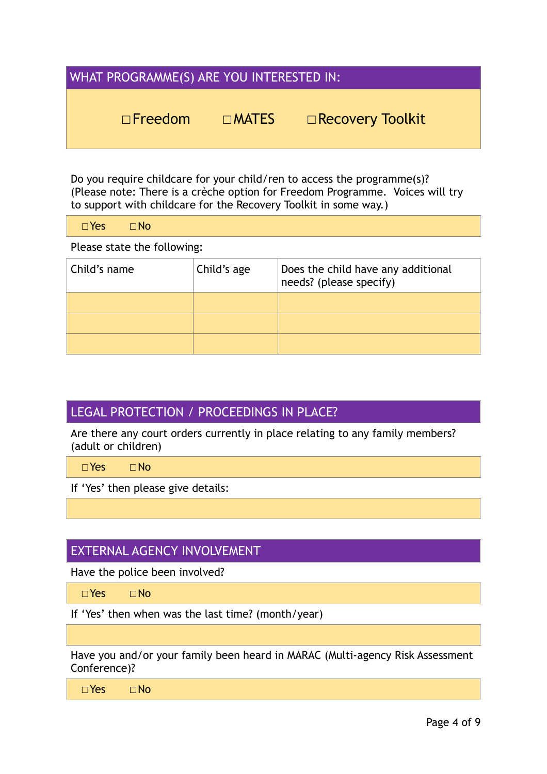### WHAT PROGRAMME(S) ARE YOU INTERESTED IN:

☐Freedom ☐MATES ☐Recovery Toolkit

Do you require childcare for your child/ren to access the programme(s)? (Please note: There is a crèche option for Freedom Programme. Voices will try to support with childcare for the Recovery Toolkit in some way.)

☐Yes ☐No

Please state the following:

| Child's name | Child's age | Does the child have any additional<br>needs? (please specify) |
|--------------|-------------|---------------------------------------------------------------|
|              |             |                                                               |
|              |             |                                                               |
|              |             |                                                               |

### LEGAL PROTECTION / PROCEEDINGS IN PLACE?

Are there any court orders currently in place relating to any family members? (adult or children)

☐Yes ☐No

If 'Yes' then please give details:

### EXTERNAL AGENCY INVOLVEMENT

Have the police been involved?

☐Yes ☐No

If 'Yes' then when was the last time? (month/year)

Have you and/or your family been heard in MARAC (Multi-agency Risk Assessment Conference)?

☐Yes ☐No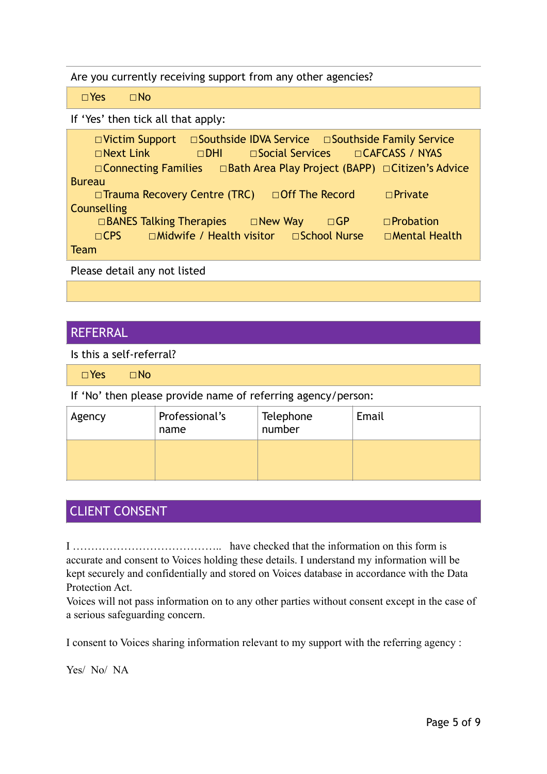Are you currently receiving support from any other agencies?

☐Yes ☐No

If 'Yes' then tick all that apply:

| □ Victim Support                                                         |                                          |                                   |           | <b>□Southside IDVA Service □Southside Family Service</b> |
|--------------------------------------------------------------------------|------------------------------------------|-----------------------------------|-----------|----------------------------------------------------------|
| $\Box$ Next Link                                                         | $\Box$ DHI                               | □Social Services □ CAFCASS / NYAS |           |                                                          |
| □ Connecting Families □ Bath Area Play Project (BAPP) □ Citizen's Advice |                                          |                                   |           |                                                          |
| <b>Bureau</b>                                                            |                                          |                                   |           |                                                          |
| □ Trauma Recovery Centre (TRC)                                           |                                          | □ Off The Record                  |           | $\Box$ Private                                           |
| Counselling                                                              |                                          |                                   |           |                                                          |
| $\Box$ BANES Talking Therapies $\Box$ New Way                            |                                          |                                   | $\Box$ GP | $\Box$ Probation                                         |
| $\Box$ CPS                                                               | □Midwife / Health visitor □ School Nurse |                                   |           | □ Mental Health                                          |
| <b>Team</b>                                                              |                                          |                                   |           |                                                          |

Please detail any not listed

### **REFERRAL**

Is this a self-referral?

☐Yes ☐No

If 'No' then please provide name of referring agency/person:

| Agency | Professional's<br>name | Telephone<br>number | Email |
|--------|------------------------|---------------------|-------|
|        |                        |                     |       |

# CLIENT CONSENT

I ………………………………….. have checked that the information on this form is accurate and consent to Voices holding these details. I understand my information will be kept securely and confidentially and stored on Voices database in accordance with the Data Protection Act.

Voices will not pass information on to any other parties without consent except in the case of a serious safeguarding concern.

I consent to Voices sharing information relevant to my support with the referring agency :

Yes/ No/ NA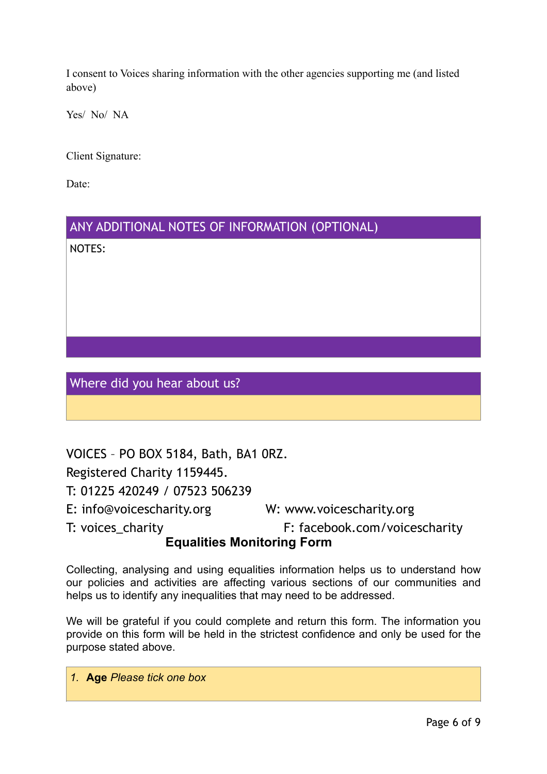I consent to Voices sharing information with the other agencies supporting me (and listed above)

Yes/ No/ NA

Client Signature:

Date:

ANY ADDITIONAL NOTES OF INFORMATION (OPTIONAL)

NOTES:

Where did you hear about us?

VOICES – PO BOX 5184, Bath, BA1 0RZ.

Registered Charity 1159445.

T: 01225 420249 / 07523 506239

E: info@voicescharity.org W: www.voicescharity.org

T: voices\_charity F: facebook.com/voicescharity

### **Equalities Monitoring Form**

Collecting, analysing and using equalities information helps us to understand how our policies and activities are affecting various sections of our communities and helps us to identify any inequalities that may need to be addressed.

We will be grateful if you could complete and return this form. The information you provide on this form will be held in the strictest confidence and only be used for the purpose stated above.

| 1. Age Please tick one box |  |  |
|----------------------------|--|--|
|                            |  |  |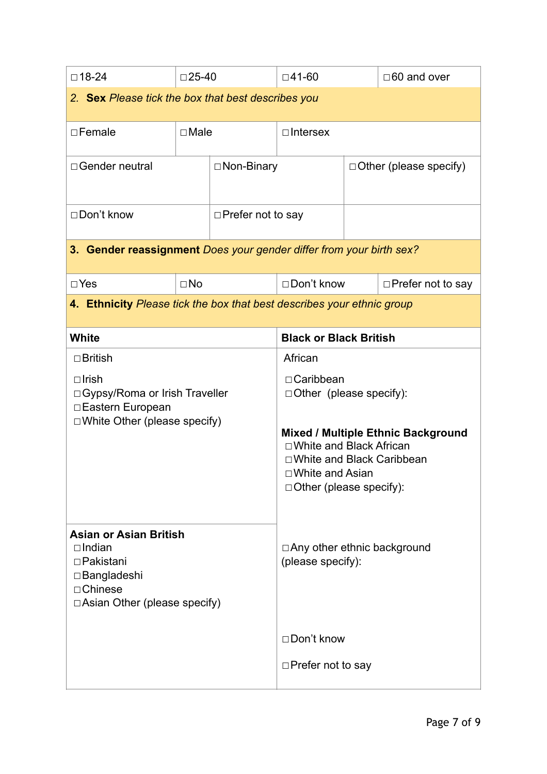| $\Box$ 18-24                                                                                                                                 | $\square$ 25-40   |                          | $\Box$ 41-60                                                                                                                                                                                                            |  | $\Box 60$ and over       |
|----------------------------------------------------------------------------------------------------------------------------------------------|-------------------|--------------------------|-------------------------------------------------------------------------------------------------------------------------------------------------------------------------------------------------------------------------|--|--------------------------|
| 2. Sex Please tick the box that best describes you                                                                                           |                   |                          |                                                                                                                                                                                                                         |  |                          |
| $\Box$ Female                                                                                                                                | $\Box$ Male       |                          | $\Box$ Intersex                                                                                                                                                                                                         |  |                          |
| □ Gender neutral                                                                                                                             | $\Box$ Non-Binary |                          | $\Box$ Other (please specify)                                                                                                                                                                                           |  |                          |
| □Don't know                                                                                                                                  |                   | $\Box$ Prefer not to say |                                                                                                                                                                                                                         |  |                          |
| 3. Gender reassignment Does your gender differ from your birth sex?                                                                          |                   |                          |                                                                                                                                                                                                                         |  |                          |
| $\Box$ Yes                                                                                                                                   | $\square$ No      |                          | □ Don't know                                                                                                                                                                                                            |  | $\Box$ Prefer not to say |
| 4. Ethnicity Please tick the box that best describes your ethnic group                                                                       |                   |                          |                                                                                                                                                                                                                         |  |                          |
| <b>White</b>                                                                                                                                 |                   |                          | <b>Black or Black British</b>                                                                                                                                                                                           |  |                          |
| $\Box$ British                                                                                                                               |                   |                          | African                                                                                                                                                                                                                 |  |                          |
| $\Box$ Irish<br>□ Gypsy/Roma or Irish Traveller<br>□ Eastern European<br>$\Box$ White Other (please specify)                                 |                   |                          | $\Box$ Caribbean<br>$\Box$ Other (please specify):<br><b>Mixed / Multiple Ethnic Background</b><br>□ White and Black African<br>□ White and Black Caribbean<br>$\Box$ White and Asian<br>$\Box$ Other (please specify): |  |                          |
| <b>Asian or Asian British</b><br>$\Box$ Indian<br>$\Box$ Pakistani<br>$\Box$ Bangladeshi<br>$\Box$ Chinese<br>□ Asian Other (please specify) |                   |                          | □ Any other ethnic background<br>(please specify):<br>□ Don't know                                                                                                                                                      |  |                          |
|                                                                                                                                              |                   |                          | $\Box$ Prefer not to say                                                                                                                                                                                                |  |                          |
|                                                                                                                                              |                   |                          |                                                                                                                                                                                                                         |  |                          |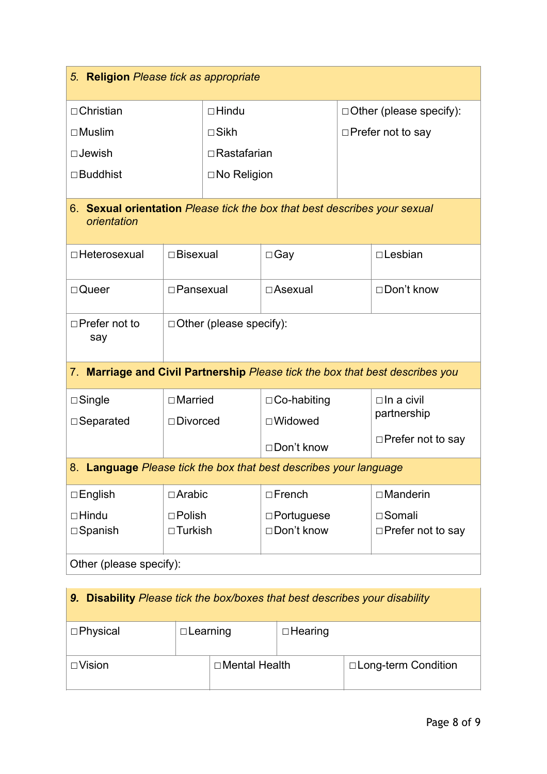| 5. Religion Please tick as appropriate                                                   |                                 |                    |                                   |                                |                                      |  |
|------------------------------------------------------------------------------------------|---------------------------------|--------------------|-----------------------------------|--------------------------------|--------------------------------------|--|
|                                                                                          |                                 |                    |                                   |                                |                                      |  |
| $\Box$ Christian                                                                         |                                 | $\Box$ Hindu       |                                   | $\Box$ Other (please specify): |                                      |  |
| $\Box$ Muslim                                                                            |                                 | $\Box$ Sikh        |                                   |                                | $\Box$ Prefer not to say             |  |
| $\Box$ Jewish                                                                            |                                 | $\Box$ Rastafarian |                                   |                                |                                      |  |
| $\Box$ Buddhist                                                                          |                                 | $\Box$ No Religion |                                   |                                |                                      |  |
| 6. Sexual orientation Please tick the box that best describes your sexual<br>orientation |                                 |                    |                                   |                                |                                      |  |
| □Heterosexual                                                                            | $\square$ Bisexual              |                    | $\Box$ Gay                        |                                | $\Box$ Lesbian                       |  |
| $\Box$ Queer                                                                             | $\Box$ Pansexual                |                    | $\Box$ Asexual                    |                                | □ Don't know                         |  |
| $\Box$ Prefer not to<br>say                                                              | $\Box$ Other (please specify):  |                    |                                   |                                |                                      |  |
| 7. Marriage and Civil Partnership Please tick the box that best describes you            |                                 |                    |                                   |                                |                                      |  |
| $\Box$ Single                                                                            | $\Box$ Married                  |                    | $\Box$ Co-habiting                |                                | $\Box$ In a civil<br>partnership     |  |
| $\Box$ Separated                                                                         | $\square$ Divorced              |                    | $\Box$ Widowed                    |                                |                                      |  |
|                                                                                          |                                 |                    | □ Don't know                      |                                | $\Box$ Prefer not to say             |  |
| 8. Language Please tick the box that best describes your language                        |                                 |                    |                                   |                                |                                      |  |
| $\Box$ English                                                                           | □ Arabic                        |                    | $\Box$ French                     |                                | $\Box$ Manderin                      |  |
| $\Box$ Hindu<br>□Spanish                                                                 | $\Box$ Polish<br>$\Box$ Turkish |                    | $\Box$ Portuguese<br>□ Don't know |                                | □ Somali<br>$\Box$ Prefer not to say |  |
| Other (please specify):                                                                  |                                 |                    |                                   |                                |                                      |  |

| <b>Disability</b> Please tick the box/boxes that best describes your disability<br>9. |                      |  |                |                       |  |
|---------------------------------------------------------------------------------------|----------------------|--|----------------|-----------------------|--|
| $\Box$ Physical                                                                       | $\Box$ Learning      |  | $\Box$ Hearing |                       |  |
| $\Box$ Vision                                                                         | $\Box$ Mental Health |  |                | □ Long-term Condition |  |